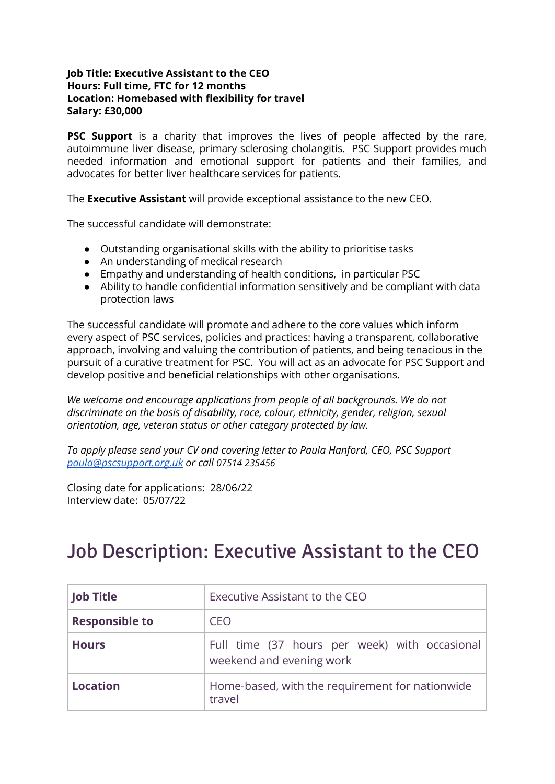#### **Job Title: Executive Assistant to the CEO Hours: Full time, FTC for 12 months Location: Homebased with flexibility for travel Salary: £30,000**

**PSC Support** is a charity that improves the lives of people affected by the rare, autoimmune liver disease, primary sclerosing cholangitis. PSC Support provides much needed information and emotional support for patients and their families, and advocates for better liver healthcare services for patients.

The **Executive Assistant** will provide exceptional assistance to the new CEO.

The successful candidate will demonstrate:

- Outstanding organisational skills with the ability to prioritise tasks
- An understanding of medical research
- Empathy and understanding of health conditions, in particular PSC
- Ability to handle confidential information sensitively and be compliant with data protection laws

The successful candidate will promote and adhere to the core values which inform every aspect of PSC services, policies and practices: having a transparent, collaborative approach, involving and valuing the contribution of patients, and being tenacious in the pursuit of a curative treatment for PSC. You will act as an advocate for PSC Support and develop positive and beneficial relationships with other organisations.

*We welcome and encourage applications from people of all backgrounds. We do not discriminate on the basis of disability, race, colour, ethnicity, gender, religion, sexual orientation, age, veteran status or other category protected by law.*

*To apply please send your CV and covering letter to Paula Hanford, CEO, PSC Support [paula@pscsupport.org.uk](mailto:paula@pscsupport.org.uk) or call 07514 235456*

Closing date for applications: 28/06/22 Interview date: 05/07/22

# Job Description: Executive Assistant to the CEO

| <b>Job Title</b>      | Executive Assistant to the CEO                                            |  |
|-----------------------|---------------------------------------------------------------------------|--|
| <b>Responsible to</b> | CEO                                                                       |  |
| <b>Hours</b>          | Full time (37 hours per week) with occasional<br>weekend and evening work |  |
| <b>Location</b>       | Home-based, with the requirement for nationwide<br>travel                 |  |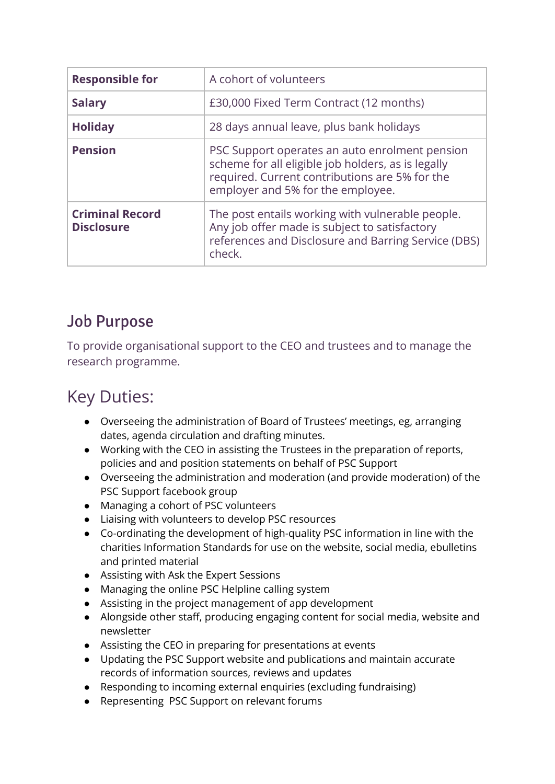| <b>Responsible for</b>                      | A cohort of volunteers                                                                                                                                                                      |  |
|---------------------------------------------|---------------------------------------------------------------------------------------------------------------------------------------------------------------------------------------------|--|
| <b>Salary</b>                               | £30,000 Fixed Term Contract (12 months)                                                                                                                                                     |  |
| <b>Holiday</b>                              | 28 days annual leave, plus bank holidays                                                                                                                                                    |  |
| <b>Pension</b>                              | PSC Support operates an auto enrolment pension<br>scheme for all eligible job holders, as is legally<br>required. Current contributions are 5% for the<br>employer and 5% for the employee. |  |
| <b>Criminal Record</b><br><b>Disclosure</b> | The post entails working with vulnerable people.<br>Any job offer made is subject to satisfactory<br>references and Disclosure and Barring Service (DBS)<br>check.                          |  |

## Job Purpose

To provide organisational support to the CEO and trustees and to manage the research programme.

# Key Duties:

- Overseeing the administration of Board of Trustees' meetings, eg, arranging dates, agenda circulation and drafting minutes.
- Working with the CEO in assisting the Trustees in the preparation of reports, policies and and position statements on behalf of PSC Support
- Overseeing the administration and moderation (and provide moderation) of the PSC Support facebook group
- Managing a cohort of PSC volunteers
- Liaising with volunteers to develop PSC resources
- Co-ordinating the development of high-quality PSC information in line with the charities Information Standards for use on the website, social media, ebulletins and printed material
- Assisting with Ask the Expert Sessions
- Managing the online PSC Helpline calling system
- Assisting in the project management of app development
- Alongside other staff, producing engaging content for social media, website and newsletter
- Assisting the CEO in preparing for presentations at events
- Updating the PSC Support website and publications and maintain accurate records of information sources, reviews and updates
- Responding to incoming external enquiries (excluding fundraising)
- Representing PSC Support on relevant forums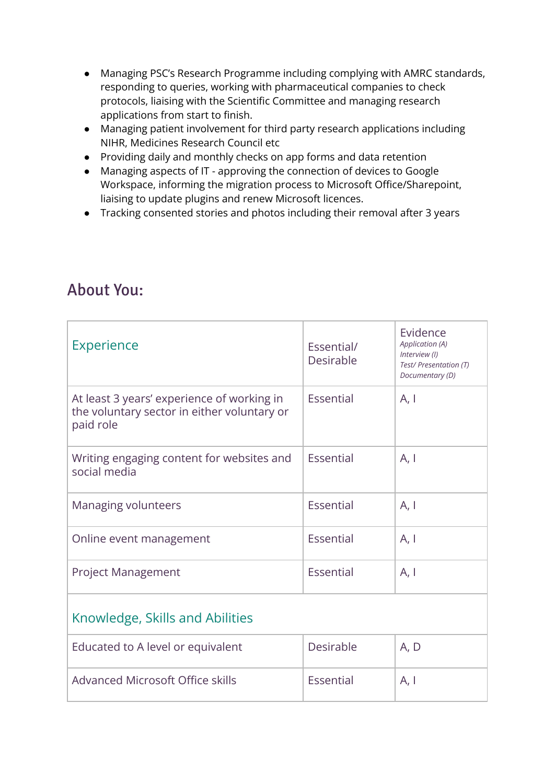- Managing PSC's Research Programme including complying with AMRC standards, responding to queries, working with pharmaceutical companies to check protocols, liaising with the Scientific Committee and managing research applications from start to finish.
- Managing patient involvement for third party research applications including NIHR, Medicines Research Council etc
- Providing daily and monthly checks on app forms and data retention
- Managing aspects of IT approving the connection of devices to Google Workspace, informing the migration process to Microsoft Office/Sharepoint, liaising to update plugins and renew Microsoft licences.
- Tracking consented stories and photos including their removal after 3 years

### About You:

| <b>Experience</b>                                                                                      | Essential/<br>Desirable | Evidence<br>Application (A)<br>Interview (I)<br>Test/ Presentation (T)<br>Documentary (D) |  |  |
|--------------------------------------------------------------------------------------------------------|-------------------------|-------------------------------------------------------------------------------------------|--|--|
| At least 3 years' experience of working in<br>the voluntary sector in either voluntary or<br>paid role | Essential               | A, I                                                                                      |  |  |
| Writing engaging content for websites and<br>social media                                              | Essential               | A, I                                                                                      |  |  |
| Managing volunteers                                                                                    | Essential               | A, I                                                                                      |  |  |
| Online event management                                                                                | Essential               | A, I                                                                                      |  |  |
| <b>Project Management</b>                                                                              | Essential               | A, I                                                                                      |  |  |
| Knowledge, Skills and Abilities                                                                        |                         |                                                                                           |  |  |
| Educated to A level or equivalent                                                                      | Desirable               | A, D                                                                                      |  |  |
| Advanced Microsoft Office skills                                                                       | Essential               | A, I                                                                                      |  |  |